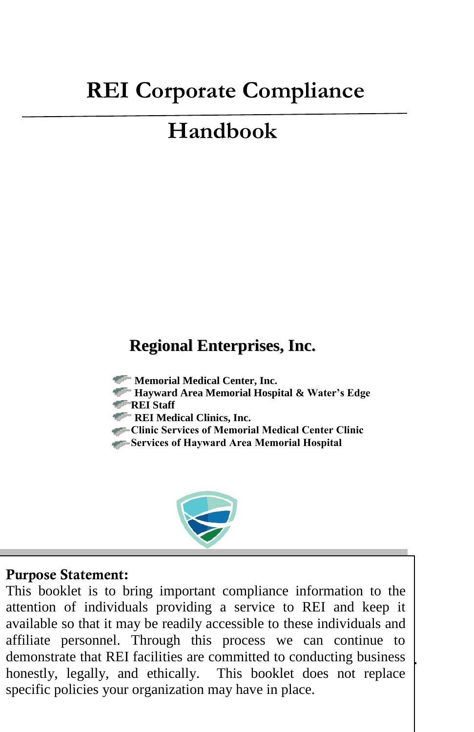# **REI Corporate Compliance**

# **Handbook**

### **Regional Enterprises, Inc.**

- **Memorial Medical Center, Inc.**
- **Hayward Area Memorial Hospital & Water's Edge**
- **REI Staff**
- **REI Medical Clinics, Inc.**
- **Clinic Services of Memorial Medical Center Clinic**
- **Services of Hayward Area Memorial Hospital**



#### **Purpose Statement:**

available so that it may be readily accessible to these individuals and<br>affiliate personnel. Through this process we can continue to demonstrate that REI facilities are committed to conducting business This booklet is to bring important compliance information to the attention of individuals providing a service to REI and keep it available so that it may be readily accessible to these individuals and honestly, legally, and ethically. This booklet does not replace specific policies your organization may have in place.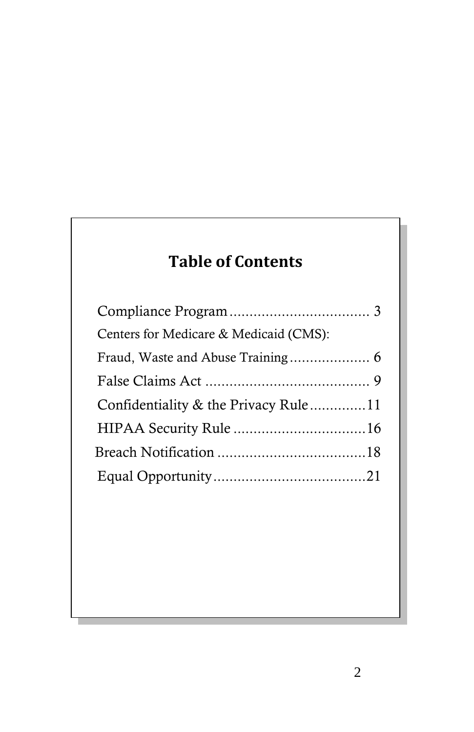# **Table of Contents**

| Centers for Medicare & Medicaid (CMS): |  |
|----------------------------------------|--|
|                                        |  |
|                                        |  |
| Confidentiality & the Privacy Rule11   |  |
|                                        |  |
|                                        |  |
|                                        |  |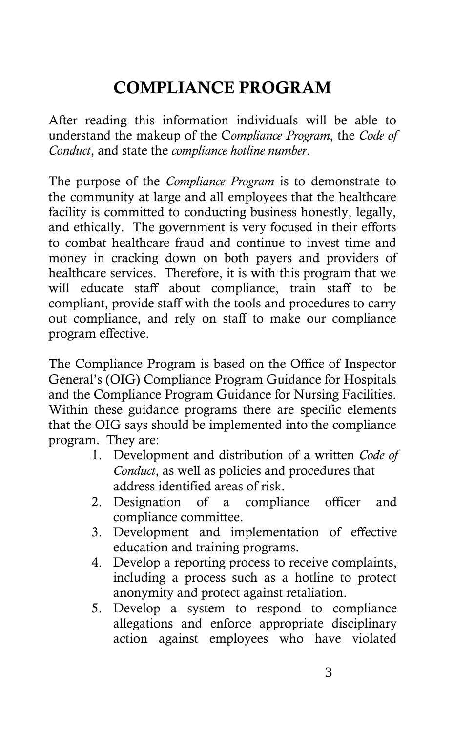# **COMPLIANCE PROGRAM**

After reading this information individuals will be able to understand the makeup of the C*ompliance Program*, the *Code of Conduct*, and state the *compliance hotline number*.

The purpose of the *Compliance Program* is to demonstrate to the community at large and all employees that the healthcare facility is committed to conducting business honestly, legally, and ethically. The government is very focused in their efforts to combat healthcare fraud and continue to invest time and money in cracking down on both payers and providers of healthcare services. Therefore, it is with this program that we will educate staff about compliance, train staff to be compliant, provide staff with the tools and procedures to carry out compliance, and rely on staff to make our compliance program effective.

The Compliance Program is based on the Office of Inspector General's (OIG) Compliance Program Guidance for Hospitals and the Compliance Program Guidance for Nursing Facilities. Within these guidance programs there are specific elements that the OIG says should be implemented into the compliance program. They are:

- 1. Development and distribution of a written *Code of Conduct*, as well as policies and procedures that address identified areas of risk.
- 2. Designation of a compliance officer and compliance committee.
- 3. Development and implementation of effective education and training programs.
- 4. Develop a reporting process to receive complaints, including a process such as a hotline to protect anonymity and protect against retaliation.
- 5. Develop a system to respond to compliance allegations and enforce appropriate disciplinary action against employees who have violated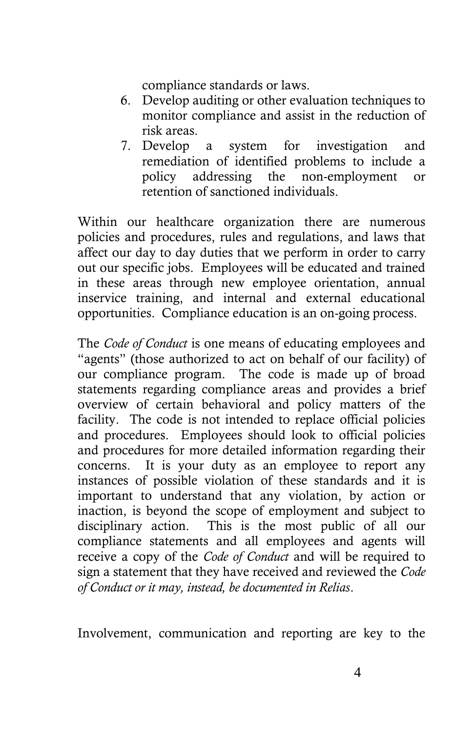compliance standards or laws.

- 6. Develop auditing or other evaluation techniques to monitor compliance and assist in the reduction of risk areas.
- 7. Develop a system for investigation and remediation of identified problems to include a policy addressing the non-employment or retention of sanctioned individuals.

Within our healthcare organization there are numerous policies and procedures, rules and regulations, and laws that affect our day to day duties that we perform in order to carry out our specific jobs. Employees will be educated and trained in these areas through new employee orientation, annual inservice training, and internal and external educational opportunities. Compliance education is an on-going process.

The *Code of Conduct* is one means of educating employees and "agents" (those authorized to act on behalf of our facility) of our compliance program. The code is made up of broad statements regarding compliance areas and provides a brief overview of certain behavioral and policy matters of the facility. The code is not intended to replace official policies and procedures. Employees should look to official policies and procedures for more detailed information regarding their concerns. It is your duty as an employee to report any instances of possible violation of these standards and it is important to understand that any violation, by action or inaction, is beyond the scope of employment and subject to disciplinary action. This is the most public of all our compliance statements and all employees and agents will receive a copy of the *Code of Conduct* and will be required to sign a statement that they have received and reviewed the *Code of Conduct or it may, instead, be documented in Relias*.

Involvement, communication and reporting are key to the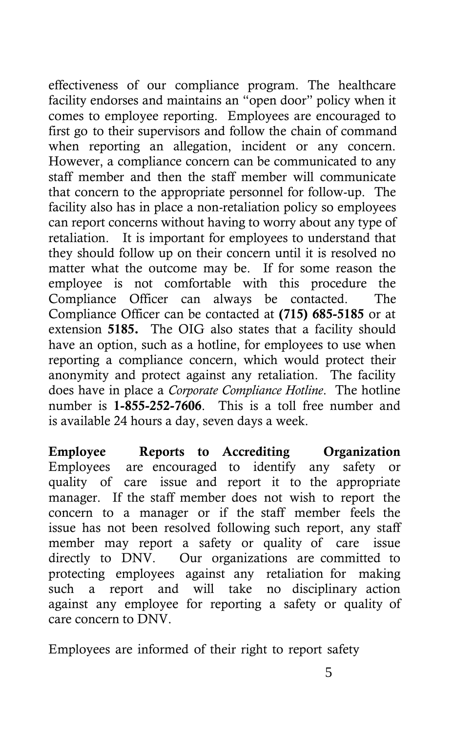effectiveness of our compliance program. The healthcare facility endorses and maintains an "open door" policy when it comes to employee reporting. Employees are encouraged to first go to their supervisors and follow the chain of command when reporting an allegation, incident or any concern. However, a compliance concern can be communicated to any staff member and then the staff member will communicate that concern to the appropriate personnel for follow-up. The facility also has in place a non-retaliation policy so employees can report concerns without having to worry about any type of retaliation. It is important for employees to understand that they should follow up on their concern until it is resolved no matter what the outcome may be. If for some reason the employee is not comfortable with this procedure the Compliance Officer can always be contacted. The Compliance Officer can be contacted at **(715) 685-5185** or at extension **5185.** The OIG also states that a facility should have an option, such as a hotline, for employees to use when reporting a compliance concern, which would protect their anonymity and protect against any retaliation. The facility does have in place a *Corporate Compliance Hotline*. The hotline number is **1-**855-252-7606. This is a toll free number and is available 24 hours a day, seven days a week.

**Employee Reports to** A**ccrediting** O**rganization** Employees are encouraged to identify any safety or quality of care issue and report it to the appropriate manager. If the staff member does not wish to report the concern to a manager or if the staff member feels the issue has not been resolved following such report, any staff member may report a safety or quality of care issue directly to DNV. Our organizations are committed to protecting employees against any retaliation for making such a report and will take no disciplinary action against any employee for reporting a safety or quality of care concern to DNV.

Employees are informed of their right to report safety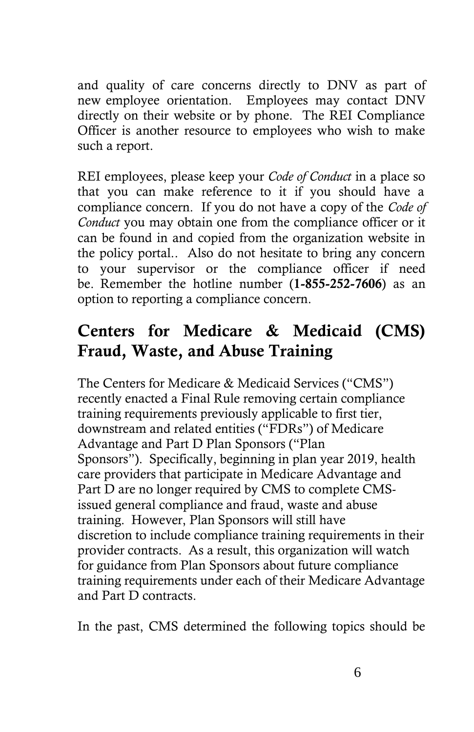and quality of care concerns directly to DNV as part of new employee orientation. Employees may contact DNV directly on their website or by phone. The REI Compliance Officer is another resource to employees who wish to make such a report.

REI employees, please keep your *Code of Conduct* in a place so that you can make reference to it if you should have a compliance concern. If you do not have a copy of the *Code of Conduct* you may obtain one from the compliance officer or it can be found in and copied from the organization website in the policy portal.. Also do not hesitate to bring any concern to your supervisor or the compliance officer if need be. Remember the hotline number (**1-**855-252-7606) as an option to reporting a compliance concern.

### **Centers for Medicare & Medicaid (CMS) Fraud, Waste, and Abuse Training**

The Centers for Medicare & Medicaid Services ("CMS") recently enacted a Final Rule removing certain compliance training requirements previously applicable to first tier, downstream and related entities ("FDRs") of Medicare Advantage and Part D Plan Sponsors ("Plan Sponsors"). Specifically, beginning in plan year 2019, health care providers that participate in Medicare Advantage and Part D are no longer required by CMS to complete CMSissued general compliance and fraud, waste and abuse training. However, Plan Sponsors will still have discretion to include compliance training requirements in their provider contracts. As a result, this organization will watch for guidance from Plan Sponsors about future compliance training requirements under each of their Medicare Advantage and Part D contracts.

In the past, CMS determined the following topics should be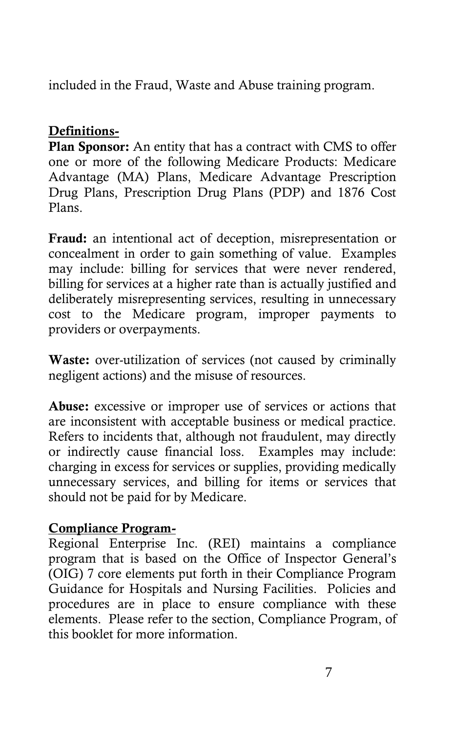included in the Fraud, Waste and Abuse training program.

#### **Definitions-**

**Plan Sponsor:** An entity that has a contract with CMS to offer one or more of the following Medicare Products: Medicare Advantage (MA) Plans, Medicare Advantage Prescription Drug Plans, Prescription Drug Plans (PDP) and 1876 Cost Plans.

**Fraud:** an intentional act of deception, misrepresentation or concealment in order to gain something of value. Examples may include: billing for services that were never rendered, billing for services at a higher rate than is actually justified and deliberately misrepresenting services, resulting in unnecessary cost to the Medicare program, improper payments to providers or overpayments.

**Waste:** over-utilization of services (not caused by criminally negligent actions) and the misuse of resources.

**Abuse:** excessive or improper use of services or actions that are inconsistent with acceptable business or medical practice. Refers to incidents that, although not fraudulent, may directly or indirectly cause financial loss. Examples may include: charging in excess for services or supplies, providing medically unnecessary services, and billing for items or services that should not be paid for by Medicare.

#### **Compliance Program-**

Regional Enterprise Inc. (REI) maintains a compliance program that is based on the Office of Inspector General's (OIG) 7 core elements put forth in their Compliance Program Guidance for Hospitals and Nursing Facilities. Policies and procedures are in place to ensure compliance with these elements. Please refer to the section, Compliance Program, of this booklet for more information.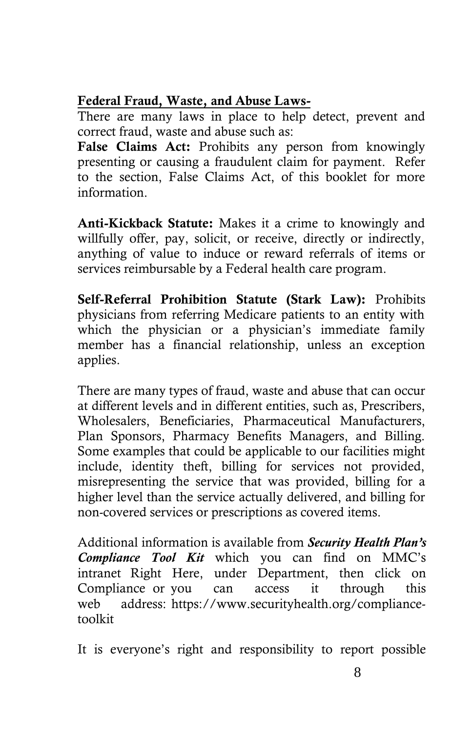#### **Federal Fraud, Waste, and Abuse Laws-**

There are many laws in place to help detect, prevent and correct fraud, waste and abuse such as:

**False Claims Act:** Prohibits any person from knowingly presenting or causing a fraudulent claim for payment. Refer to the section, False Claims Act, of this booklet for more information.

**Anti-Kickback Statute:** Makes it a crime to knowingly and willfully offer, pay, solicit, or receive, directly or indirectly, anything of value to induce or reward referrals of items or services reimbursable by a Federal health care program.

**Self-Referral Prohibition Statute (Stark Law):** Prohibits physicians from referring Medicare patients to an entity with which the physician or a physician's immediate family member has a financial relationship, unless an exception applies.

There are many types of fraud, waste and abuse that can occur at different levels and in different entities, such as, Prescribers, Wholesalers, Beneficiaries, Pharmaceutical Manufacturers, Plan Sponsors, Pharmacy Benefits Managers, and Billing. Some examples that could be applicable to our facilities might include, identity theft, billing for services not provided, misrepresenting the service that was provided, billing for a higher level than the service actually delivered, and billing for non-covered services or prescriptions as covered items.

Additional information is available from *Security Health Plan's Compliance Tool Kit* which you can find on MMC's intranet Right Here, under Department, then click on Compliance or you can access it through this web address: https://www.securityhealth.org/compliancetoolkit

It is everyone's right and responsibility to report possible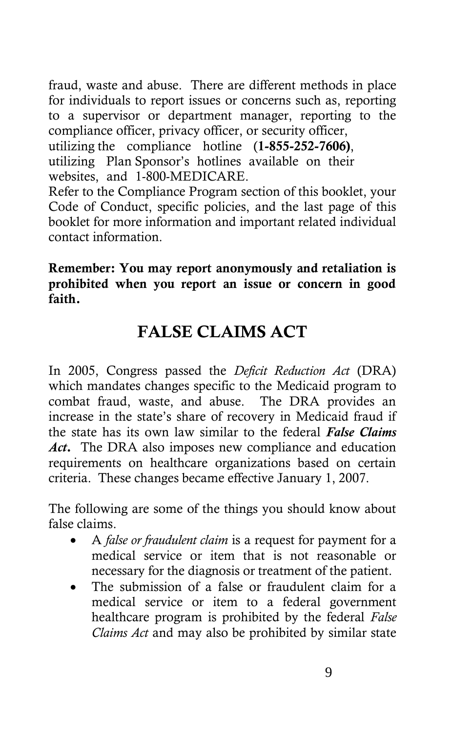fraud, waste and abuse. There are different methods in place for individuals to report issues or concerns such as, reporting to a supervisor or department manager, reporting to the compliance officer, privacy officer, or security officer, utilizing the compliance hotline (1-855-252-7606), utilizing Plan Sponsor's hotlines available on their websites, and 1-800-MEDICARE.

Refer to the Compliance Program section of this booklet, your Code of Conduct, specific policies, and the last page of this booklet for more information and important related individual contact information.

**Remember: You may report anonymously and retaliation is prohibited when you report an issue or concern in good faith.** 

## **FALSE CLAIMS ACT**

In 2005, Congress passed the *Deficit Reduction Act* (DRA) which mandates changes specific to the Medicaid program to combat fraud, waste, and abuse. The DRA provides an increase in the state's share of recovery in Medicaid fraud if the state has its own law similar to the federal *False Claims Act***.** The DRA also imposes new compliance and education requirements on healthcare organizations based on certain criteria. These changes became effective January 1, 2007.

The following are some of the things you should know about false claims.

- A *false or fraudulent claim* is a request for payment for a medical service or item that is not reasonable or necessary for the diagnosis or treatment of the patient.
- The submission of a false or fraudulent claim for a medical service or item to a federal government healthcare program is prohibited by the federal *False Claims Act* and may also be prohibited by similar state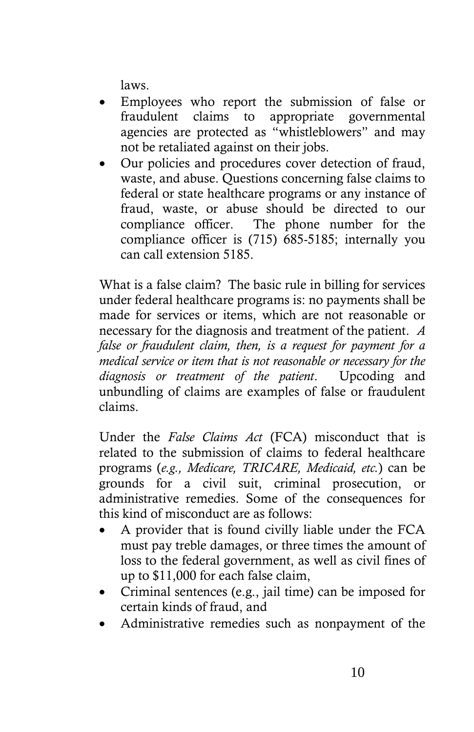laws.

- Employees who report the submission of false or fraudulent claims to appropriate governmental agencies are protected as "whistleblowers" and may not be retaliated against on their jobs.
- Our policies and procedures cover detection of fraud, waste, and abuse. Questions concerning false claims to federal or state healthcare programs or any instance of fraud, waste, or abuse should be directed to our compliance officer. The phone number for the compliance officer is (715) 685-5185; internally you can call extension 5185.

What is a false claim? The basic rule in billing for services under federal healthcare programs is: no payments shall be made for services or items, which are not reasonable or necessary for the diagnosis and treatment of the patient. *A false or fraudulent claim, then, is a request for payment for a medical service or item that is not reasonable or necessary for the diagnosis or treatment of the patient*. Upcoding and unbundling of claims are examples of false or fraudulent claims.

Under the *False Claims Act* (FCA) misconduct that is related to the submission of claims to federal healthcare programs (*e.g., Medicare, TRICARE, Medicaid, etc.*) can be grounds for a civil suit, criminal prosecution, or administrative remedies. Some of the consequences for this kind of misconduct are as follows:

- A provider that is found civilly liable under the FCA must pay treble damages, or three times the amount of loss to the federal government, as well as civil fines of up to \$11,000 for each false claim,
- Criminal sentences (e.g., jail time) can be imposed for certain kinds of fraud, and
- Administrative remedies such as nonpayment of the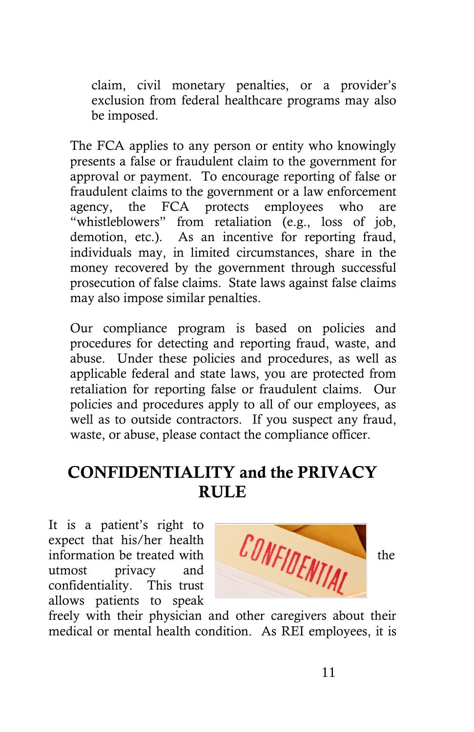claim, civil monetary penalties, or a provider's exclusion from federal healthcare programs may also be imposed.

The FCA applies to any person or entity who knowingly presents a false or fraudulent claim to the government for approval or payment. To encourage reporting of false or fraudulent claims to the government or a law enforcement agency, the FCA protects employees who are "whistleblowers" from retaliation (e.g., loss of job, demotion, etc.). As an incentive for reporting fraud, individuals may, in limited circumstances, share in the money recovered by the government through successful prosecution of false claims. State laws against false claims may also impose similar penalties.

Our compliance program is based on policies and procedures for detecting and reporting fraud, waste, and abuse. Under these policies and procedures, as well as applicable federal and state laws, you are protected from retaliation for reporting false or fraudulent claims. Our policies and procedures apply to all of our employees, as well as to outside contractors. If you suspect any fraud, waste, or abuse, please contact the compliance officer.

### **CONFIDENTIALITY and the PRIVACY RULE**

It is a patient's right to expect that his/her health utmost privacy and confidentiality. This trust allows patients to speak



freely with their physician and other caregivers about their medical or mental health condition. As REI employees, it is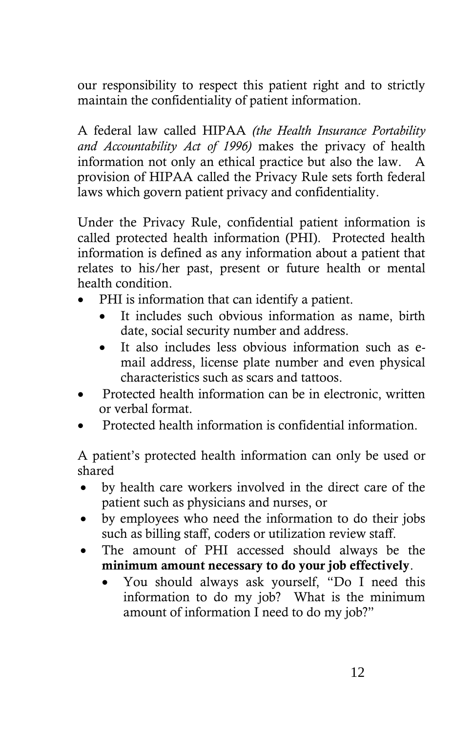our responsibility to respect this patient right and to strictly maintain the confidentiality of patient information.

A federal law called HIPAA *(the Health Insurance Portability and Accountability Act of 1996)* makes the privacy of health information not only an ethical practice but also the law. A provision of HIPAA called the Privacy Rule sets forth federal laws which govern patient privacy and confidentiality.

Under the Privacy Rule, confidential patient information is called protected health information (PHI). Protected health information is defined as any information about a patient that relates to his/her past, present or future health or mental health condition.

- PHI is information that can identify a patient.
	- It includes such obvious information as name, birth date, social security number and address.
	- It also includes less obvious information such as email address, license plate number and even physical characteristics such as scars and tattoos.
- Protected health information can be in electronic, written or verbal format.
- Protected health information is confidential information.

A patient's protected health information can only be used or shared

- by health care workers involved in the direct care of the patient such as physicians and nurses, or
- by employees who need the information to do their jobs such as billing staff, coders or utilization review staff.
- The amount of PHI accessed should always be the **minimum amount necessary to do your job effectively**.
	- You should always ask yourself, "Do I need this information to do my job? What is the minimum amount of information I need to do my job?"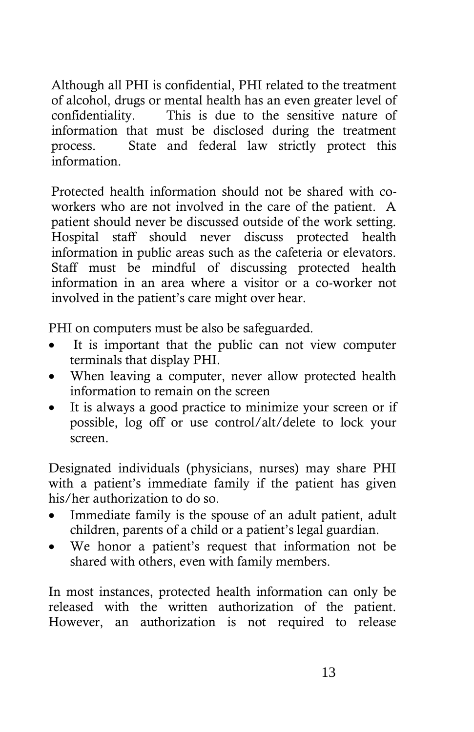Although all PHI is confidential, PHI related to the treatment of alcohol, drugs or mental health has an even greater level of confidentiality. This is due to the sensitive nature of information that must be disclosed during the treatment process. State and federal law strictly protect this information.

Protected health information should not be shared with coworkers who are not involved in the care of the patient. A patient should never be discussed outside of the work setting. Hospital staff should never discuss protected health information in public areas such as the cafeteria or elevators. Staff must be mindful of discussing protected health information in an area where a visitor or a co-worker not involved in the patient's care might over hear.

PHI on computers must be also be safeguarded.

- It is important that the public can not view computer terminals that display PHI.
- When leaving a computer, never allow protected health information to remain on the screen
- It is always a good practice to minimize your screen or if possible, log off or use control/alt/delete to lock your screen.

Designated individuals (physicians, nurses) may share PHI with a patient's immediate family if the patient has given his/her authorization to do so.

- Immediate family is the spouse of an adult patient, adult children, parents of a child or a patient's legal guardian.
- We honor a patient's request that information not be shared with others, even with family members.

In most instances, protected health information can only be released with the written authorization of the patient. However, an authorization is not required to release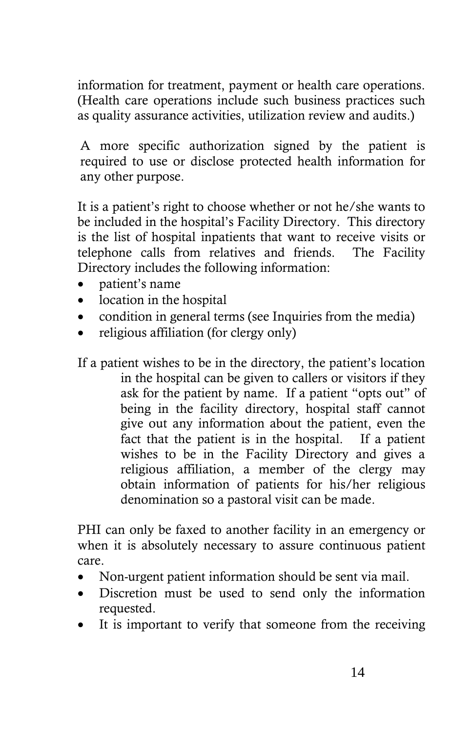information for treatment, payment or health care operations. (Health care operations include such business practices such as quality assurance activities, utilization review and audits.)

A more specific authorization signed by the patient is required to use or disclose protected health information for any other purpose.

It is a patient's right to choose whether or not he/she wants to be included in the hospital's Facility Directory. This directory is the list of hospital inpatients that want to receive visits or telephone calls from relatives and friends. The Facility Directory includes the following information:

- patient's name
- location in the hospital
- condition in general terms (see Inquiries from the media)
- religious affiliation (for clergy only)

If a patient wishes to be in the directory, the patient's location in the hospital can be given to callers or visitors if they ask for the patient by name. If a patient "opts out" of being in the facility directory, hospital staff cannot give out any information about the patient, even the fact that the patient is in the hospital. If a patient wishes to be in the Facility Directory and gives a religious affiliation, a member of the clergy may obtain information of patients for his/her religious denomination so a pastoral visit can be made.

PHI can only be faxed to another facility in an emergency or when it is absolutely necessary to assure continuous patient care.

- Non-urgent patient information should be sent via mail.
- Discretion must be used to send only the information requested.
- It is important to verify that someone from the receiving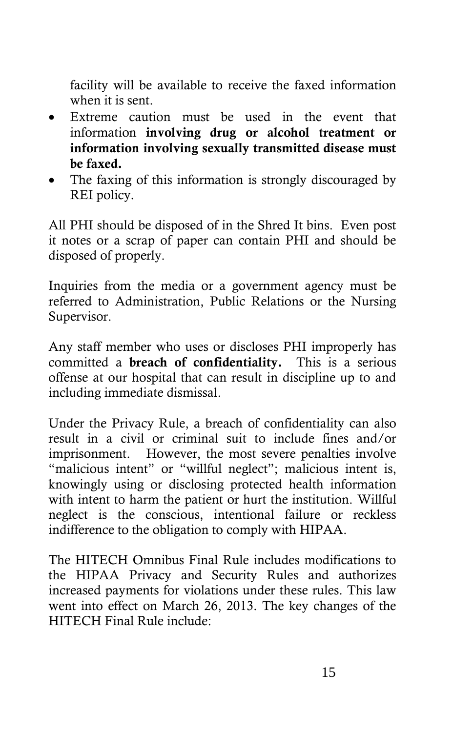facility will be available to receive the faxed information when it is sent.

- Extreme caution must be used in the event that information **involving drug or alcohol treatment or information involving sexually transmitted disease must be faxed.**
- The faxing of this information is strongly discouraged by REI policy.

All PHI should be disposed of in the Shred It bins. Even post it notes or a scrap of paper can contain PHI and should be disposed of properly.

Inquiries from the media or a government agency must be referred to Administration, Public Relations or the Nursing Supervisor.

Any staff member who uses or discloses PHI improperly has committed a **breach of confidentiality.** This is a serious offense at our hospital that can result in discipline up to and including immediate dismissal.

Under the Privacy Rule, a breach of confidentiality can also result in a civil or criminal suit to include fines and/or imprisonment. However, the most severe penalties involve "malicious intent" or "willful neglect"; malicious intent is, knowingly using or disclosing protected health information with intent to harm the patient or hurt the institution. Willful neglect is the conscious, intentional failure or reckless indifference to the obligation to comply with HIPAA.

The HITECH Omnibus Final Rule includes modifications to the HIPAA Privacy and Security Rules and authorizes increased payments for violations under these rules. This law went into effect on March 26, 2013. The key changes of the HITECH Final Rule include: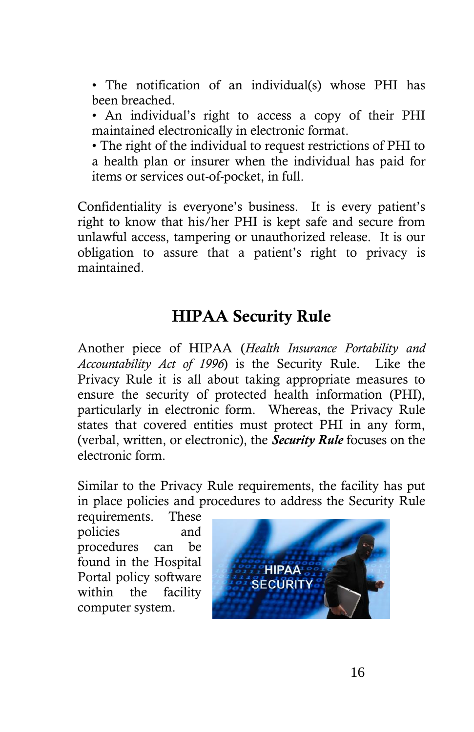• The notification of an individual(s) whose PHI has been breached.

• An individual's right to access a copy of their PHI maintained electronically in electronic format.

• The right of the individual to request restrictions of PHI to a health plan or insurer when the individual has paid for items or services out-of-pocket, in full.

Confidentiality is everyone's business. It is every patient's right to know that his/her PHI is kept safe and secure from unlawful access, tampering or unauthorized release. It is our obligation to assure that a patient's right to privacy is maintained.

### **HIPAA Security Rule**

Another piece of HIPAA (*Health Insurance Portability and Accountability Act of 1996*) is the Security Rule. Like the Privacy Rule it is all about taking appropriate measures to ensure the security of protected health information (PHI), particularly in electronic form. Whereas, the Privacy Rule states that covered entities must protect PHI in any form, (verbal, written, or electronic), the *Security Rule* focuses on the electronic form.

Similar to the Privacy Rule requirements, the facility has put in place policies and procedures to address the Security Rule

requirements. These policies and procedures can be found in the Hospital Portal policy software within the facility computer system.

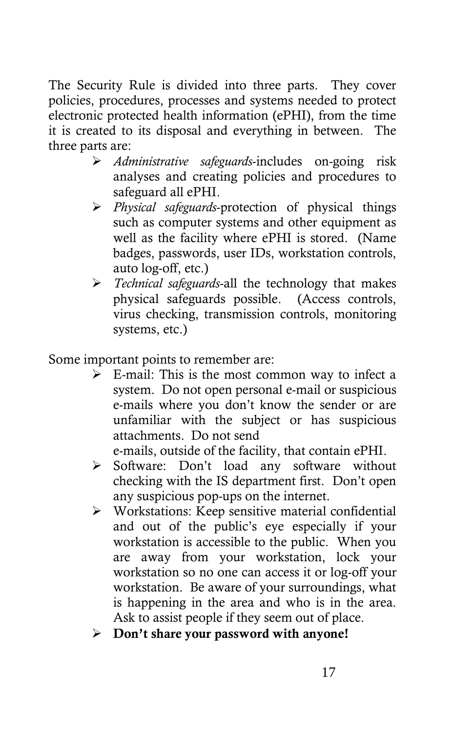The Security Rule is divided into three parts. They cover policies, procedures, processes and systems needed to protect electronic protected health information (ePHI), from the time it is created to its disposal and everything in between. The three parts are:

- *Administrative safeguards*-includes on-going risk analyses and creating policies and procedures to safeguard all ePHI.
- *Physical safeguards*-protection of physical things such as computer systems and other equipment as well as the facility where ePHI is stored. (Name badges, passwords, user IDs, workstation controls, auto log-off, etc.)
- *Technical safeguards*-all the technology that makes physical safeguards possible. (Access controls, virus checking, transmission controls, monitoring systems, etc.)

Some important points to remember are:

 $\triangleright$  E-mail: This is the most common way to infect a system. Do not open personal e-mail or suspicious e-mails where you don't know the sender or are unfamiliar with the subject or has suspicious attachments. Do not send

e-mails, outside of the facility, that contain ePHI.

- Software: Don't load any software without checking with the IS department first. Don't open any suspicious pop-ups on the internet.
- Workstations: Keep sensitive material confidential and out of the public's eye especially if your workstation is accessible to the public. When you are away from your workstation, lock your workstation so no one can access it or log-off your workstation. Be aware of your surroundings, what is happening in the area and who is in the area. Ask to assist people if they seem out of place.
- **Don't share your password with anyone!**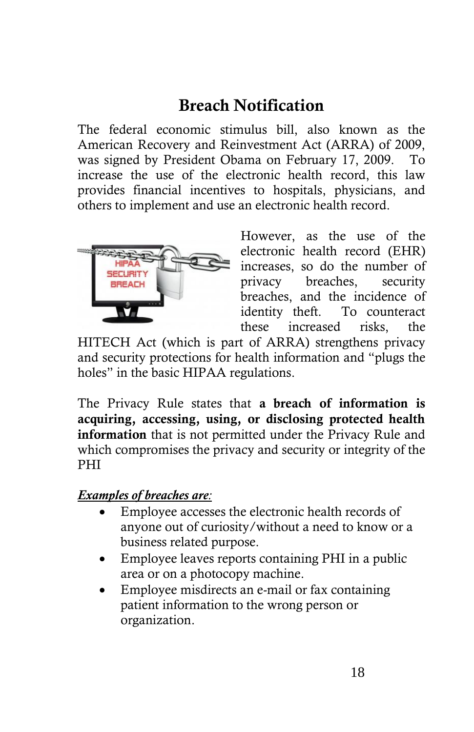## **Breach Notification**

The federal economic stimulus bill, also known as the American Recovery and Reinvestment Act (ARRA) of 2009, was signed by President Obama on February 17, 2009. To increase the use of the electronic health record, this law provides financial incentives to hospitals, physicians, and others to implement and use an electronic health record.



However, as the use of the electronic health record (EHR) increases, so do the number of privacy breaches, security breaches, and the incidence of identity theft. To counteract these increased risks, the

HITECH Act (which is part of ARRA) strengthens privacy and security protections for health information and "plugs the holes" in the basic HIPAA regulations.

The Privacy Rule states that **a breach of information is acquiring, accessing, using, or disclosing protected health information** that is not permitted under the Privacy Rule and which compromises the privacy and security or integrity of the PHI

#### *Examples of breaches are:*

- Employee accesses the electronic health records of anyone out of curiosity/without a need to know or a business related purpose.
- Employee leaves reports containing PHI in a public area or on a photocopy machine.
- Employee misdirects an e-mail or fax containing patient information to the wrong person or organization.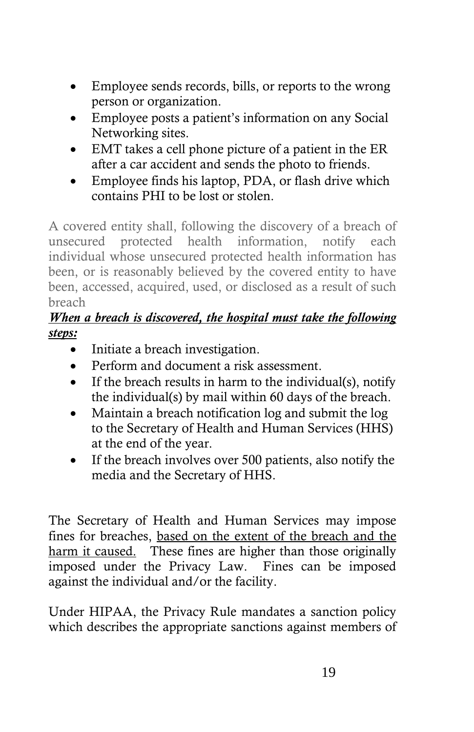- Employee sends records, bills, or reports to the wrong person or organization.
- Employee posts a patient's information on any Social Networking sites.
- EMT takes a cell phone picture of a patient in the ER after a car accident and sends the photo to friends.
- Employee finds his laptop, PDA, or flash drive which contains PHI to be lost or stolen.

A covered entity shall, following the discovery of a breach of unsecured protected health information, notify each individual whose unsecured protected health information has been, or is reasonably believed by the covered entity to have been, accessed, acquired, used, or disclosed as a result of such breach

#### *When a breach is discovered, the hospital must take the following steps:*

- Initiate a breach investigation.
- Perform and document a risk assessment.
- If the breach results in harm to the individual(s), notify the individual(s) by mail within 60 days of the breach.
- Maintain a breach notification log and submit the log to the Secretary of Health and Human Services (HHS) at the end of the year.
- If the breach involves over 500 patients, also notify the media and the Secretary of HHS.

The Secretary of Health and Human Services may impose fines for breaches, based on the extent of the breach and the harm it caused. These fines are higher than those originally imposed under the Privacy Law. Fines can be imposed against the individual and/or the facility.

Under HIPAA, the Privacy Rule mandates a sanction policy which describes the appropriate sanctions against members of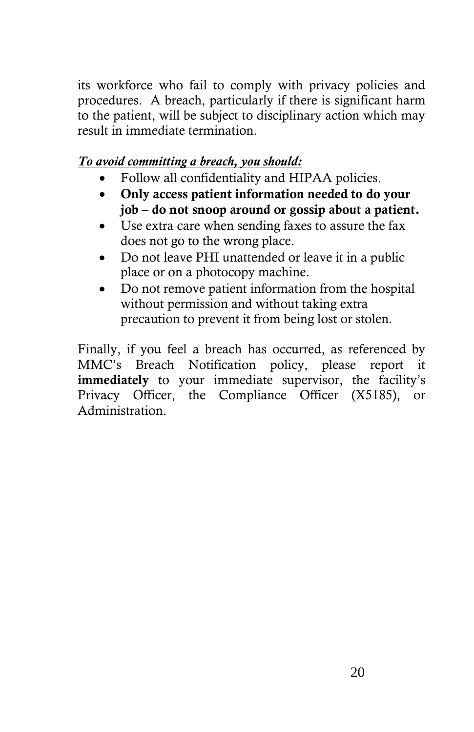its workforce who fail to comply with privacy policies and procedures. A breach, particularly if there is significant harm to the patient, will be subject to disciplinary action which may result in immediate termination.

#### *To avoid committing a breach, you should:*

- Follow all confidentiality and HIPAA policies.
- **Only access patient information needed to do your job – do not snoop around or gossip about a patient.**
- Use extra care when sending faxes to assure the fax does not go to the wrong place.
- Do not leave PHI unattended or leave it in a public place or on a photocopy machine.
- Do not remove patient information from the hospital without permission and without taking extra precaution to prevent it from being lost or stolen.

Finally, if you feel a breach has occurred, as referenced by MMC's Breach Notification policy, please report it **immediately** to your immediate supervisor, the facility's Privacy Officer, the Compliance Officer (X5185), or Administration.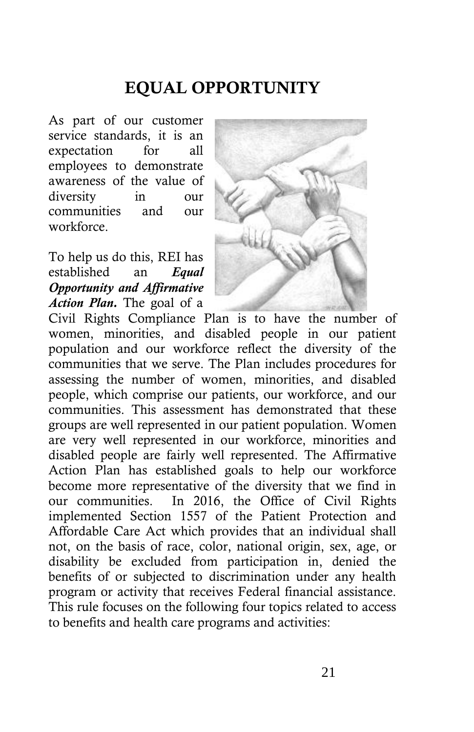# **EQUAL OPPORTUNITY**

As part of our customer service standards, it is an expectation for all employees to demonstrate awareness of the value of diversity in our communities and our workforce.

To help us do this, REI has established an *Equal Opportunity and Affirmative Action Plan.* The goal of a



Civil Rights Compliance Plan is to have the number of women, minorities, and disabled people in our patient population and our workforce reflect the diversity of the communities that we serve. The Plan includes procedures for assessing the number of women, minorities, and disabled people, which comprise our patients, our workforce, and our communities. This assessment has demonstrated that these groups are well represented in our patient population. Women are very well represented in our workforce, minorities and disabled people are fairly well represented. The Affirmative Action Plan has established goals to help our workforce become more representative of the diversity that we find in our communities. In 2016, the Office of Civil Rights implemented Section 1557 of the Patient Protection and Affordable Care Act which provides that an individual shall not, on the basis of race, color, national origin, sex, age, or disability be excluded from participation in, denied the benefits of or subjected to discrimination under any health program or activity that receives Federal financial assistance. This rule focuses on the following four topics related to access to benefits and health care programs and activities: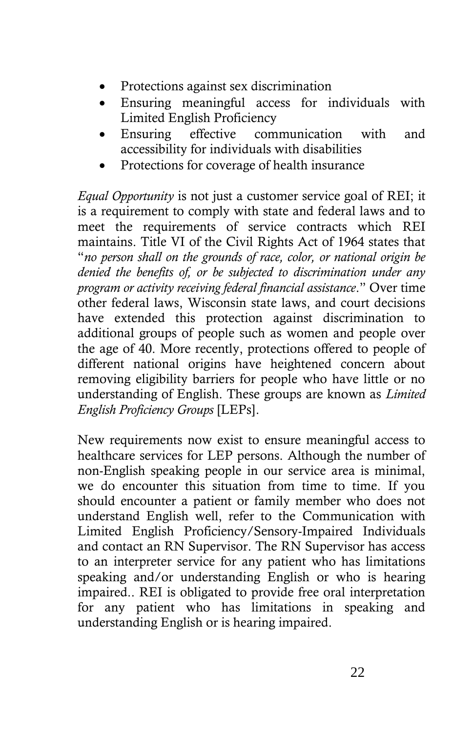- Protections against sex discrimination
- Ensuring meaningful access for individuals with Limited English Proficiency
- Ensuring effective communication with and accessibility for individuals with disabilities
- Protections for coverage of health insurance

*Equal Opportunity* is not just a customer service goal of REI; it is a requirement to comply with state and federal laws and to meet the requirements of service contracts which REI maintains. Title VI of the Civil Rights Act of 1964 states that "*no person shall on the grounds of race, color, or national origin be denied the benefits of, or be subjected to discrimination under any program or activity receiving federal financial assistance*." Over time other federal laws, Wisconsin state laws, and court decisions have extended this protection against discrimination to additional groups of people such as women and people over the age of 40. More recently, protections offered to people of different national origins have heightened concern about removing eligibility barriers for people who have little or no understanding of English. These groups are known as *Limited English Proficiency Groups* [LEPs].

New requirements now exist to ensure meaningful access to healthcare services for LEP persons. Although the number of non-English speaking people in our service area is minimal, we do encounter this situation from time to time. If you should encounter a patient or family member who does not understand English well, refer to the Communication with Limited English Proficiency/Sensory-Impaired Individuals and contact an RN Supervisor. The RN Supervisor has access to an interpreter service for any patient who has limitations speaking and/or understanding English or who is hearing impaired.. REI is obligated to provide free oral interpretation for any patient who has limitations in speaking and understanding English or is hearing impaired.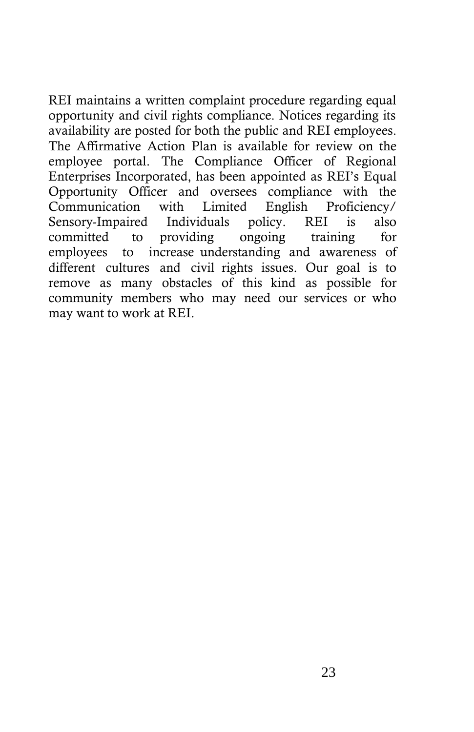REI maintains a written complaint procedure regarding equal opportunity and civil rights compliance. Notices regarding its availability are posted for both the public and REI employees. The Affirmative Action Plan is available for review on the employee portal. The Compliance Officer of Regional Enterprises Incorporated, has been appointed as REI's Equal Opportunity Officer and oversees compliance with the Communication with Limited English Proficiency/ Sensory-Impaired Individuals policy. REI is also committed to providing ongoing training for employees to increase understanding and awareness of different cultures and civil rights issues. Our goal is to remove as many obstacles of this kind as possible for community members who may need our services or who may want to work at REI.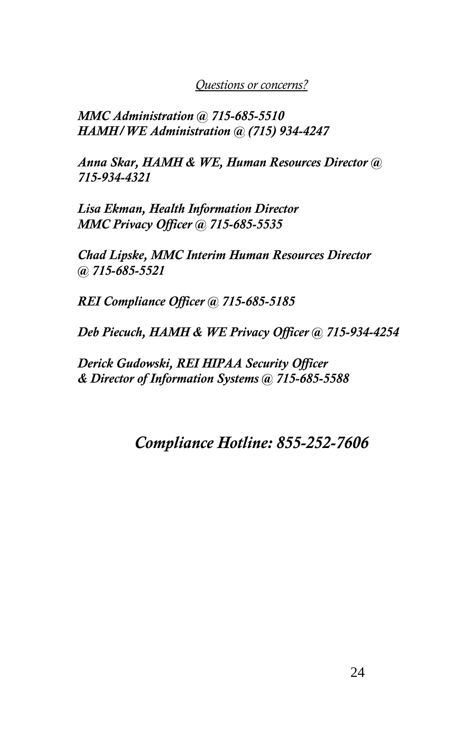*Questions or concerns?* 

*MMC Administration @ 715-685-5510 HAMH/WE Administration @ (715) 934-4247*

*Anna Skar, HAMH & WE, Human Resources Director @ 715-934-4321*

*Lisa Ekman, Health Information Director MMC Privacy Officer @ 715-685-5535* 

*Chad Lipske, MMC Interim Human Resources Director @ 715-685-5521* 

*REI Compliance Officer @ 715-685-5185*

*Deb Piecuch, HAMH & WE Privacy Officer @ 715-934-4254*

*Derick Gudowski, REI HIPAA Security Officer & Director of Information Systems @ 715-685-5588*

### *Compliance Hotline: 855-252-7606*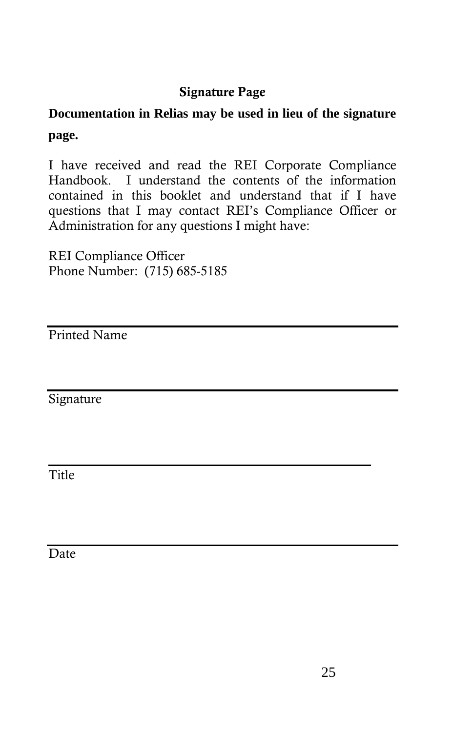### **Signature Page**

### **Documentation in Relias may be used in lieu of the signature page.**

I have received and read the REI Corporate Compliance Handbook. I understand the contents of the information contained in this booklet and understand that if I have questions that I may contact REI's Compliance Officer or Administration for any questions I might have:

REI Compliance Officer Phone Number: (715) 685-5185

Printed Name

Signature

 $\mathcal{L}_\text{max}$  and  $\mathcal{L}_\text{max}$  and  $\mathcal{L}_\text{max}$  and  $\mathcal{L}_\text{max}$ **Title** 

**Date**